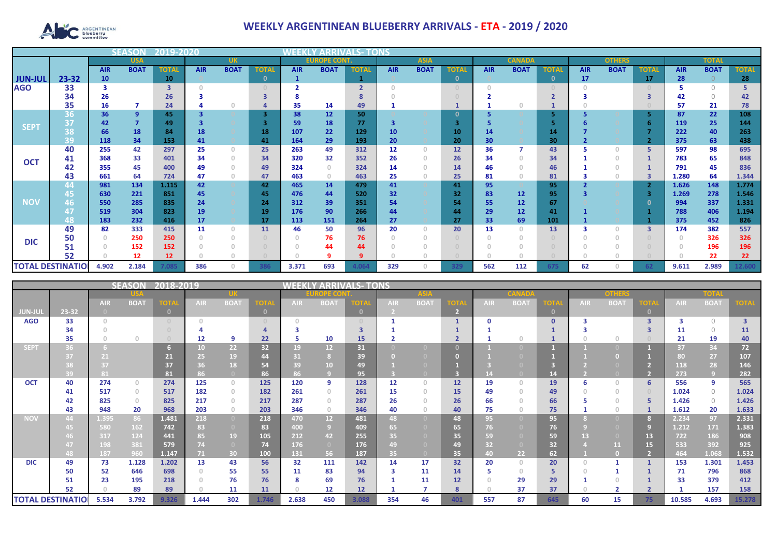

## **WEEKLY ARGENTINEAN BLUEBERRY ARRIVALS - ETA - 2019 / 2020**

|                          |                      |            | 12019-2020     |              |            |              |              |            |                     |                         |             |             |              |               |             |              |               |              |                         |              |             |              |
|--------------------------|----------------------|------------|----------------|--------------|------------|--------------|--------------|------------|---------------------|-------------------------|-------------|-------------|--------------|---------------|-------------|--------------|---------------|--------------|-------------------------|--------------|-------------|--------------|
|                          |                      |            | <b>USA</b>     |              |            | <b>UK</b>    |              |            | <b>EUROPE CONT.</b> |                         | <b>ASIA</b> |             |              | <b>CANADA</b> |             |              | <b>OTHERS</b> |              |                         | <b>TOTAL</b> |             |              |
|                          |                      | <b>AIR</b> | <b>BOAT</b>    | <b>TOTAL</b> | <b>AIR</b> | <b>BOAT</b>  | <b>TOTA</b>  | <b>AIR</b> | <b>BOAT</b>         | <b>TOTAL</b>            | <b>AIR</b>  | <b>BOAT</b> | <b>TOTAL</b> | <b>AIR</b>    | <b>BOAT</b> | <b>TOTAI</b> | <b>AIR</b>    | <b>BOAT</b>  | <b>TOTAL</b>            | <b>AIR</b>   | <b>BOAT</b> | <b>TOTAL</b> |
| <b>JUN-JUL</b>           | 23-32                | 10         |                | 10           |            |              | $\mathbf{0}$ |            |                     |                         |             |             | $\mathbf 0$  |               |             | $\mathbf{0}$ | 17            |              | 17                      | 28           |             | 28           |
| <b>AGO</b>               | 33                   | 3          |                | 3            |            |              |              |            |                     | $\overline{\mathbf{z}}$ |             |             |              |               |             |              |               |              |                         |              |             |              |
|                          | 34                   | 26         |                | 26           |            |              |              |            |                     |                         |             |             |              |               |             |              |               |              |                         | 42           | $\Omega$    | 42           |
|                          | 35                   | 16         |                | 24           |            |              |              | 35         | 14                  | 49                      |             |             |              |               |             |              |               |              |                         | 57           | 21          | 78           |
|                          | 36                   | 36         | $\overline{9}$ | 45           |            |              | 3            | 38         | 12                  | 50                      |             |             | $\Omega$     |               |             |              |               |              |                         | 87           | 22          | 108          |
| <b>SEPT</b>              | 37                   | 42         |                | 49           |            |              |              | 59         | 18                  | 77                      | 3           |             | з            |               |             |              |               |              |                         | 119          | 25          | 144          |
|                          | $\overline{O}$<br>DО | 66         | 18             | 84           | 18         |              | 18           | 107        | 22                  | 129                     | 10          |             | 10           | 14            |             | 14           |               |              |                         | 222          | 40          | 263          |
|                          | 39                   | 118        | 34             | 153          | 41         |              | 41           | 164        | 29                  | 193                     | 20          |             | 20           | 30            |             | 30           |               |              |                         | 375          | 63          | 438          |
| <b>OCT</b>               | 40                   | 255        | 42             | 297          | 25         | $\Omega$     | 25           | 263        | 49                  | 312                     | 12          | $\Omega$    | 12           | 36            |             | 43           |               | $\Omega$     | -5                      | 597          | 98          | 695          |
|                          | 41                   | 368        | 33             | 401          | 34         | $\Omega$     | 34           | 320        | 32                  | 352                     | 26          | $\Omega$    | 26           | 34            |             | 34           |               | $\Omega$     |                         | 783          | 65          | 848          |
|                          | 42                   | 355        | 45             | 400          | 49         | $\Omega$     | 49           | 324        | $\Omega$            | 324                     | 14          |             | 14           | 46            |             | 46           |               |              |                         | 791          | 45          | 836          |
|                          | 43                   | 661        | 64             | 724          | 47         | $\mathbf{0}$ | 47           | 463        | $\overline{0}$      | 463                     | 25          | $\Omega$    | 25           | 81            |             | 81           |               | $\mathbf{0}$ |                         | 1.280        | 64          | 1.344        |
|                          | 44                   | 981        | 134            | 1.115        | 42         |              | 42           | 465        | 14                  | 479                     | 41          |             | 41           | 95            |             | 95           |               |              |                         | 1.626        | 148         | 1.774        |
|                          | 45                   | 630        | 221            | 851          | 45         |              | 45           | 476        | 44                  | 520                     | 32          |             | 32           | 83            | 12          | 95           |               |              |                         | 1.269        | 278         | 1.546        |
| <b>NOV</b>               | 46                   | 550        | 285            | 835          | 24         |              | 24           | 312        | 39                  | 351                     | 54          |             | 54           | 55            | 12          | 67           |               |              |                         | 994          | 337         | 1.331        |
|                          |                      | 519        | 304            | 823          | 19         |              | 19           | 176        | 90                  | 266                     | 44          |             | 44           | 29            | 12          | 41           |               |              |                         | 788          | 406         | 1.194        |
|                          | 48                   | 183        | 232            | 416          | 17         |              | 17           | 113        | 151                 | 264                     | 27          |             | 27           | 33            | 69          | 101          |               |              |                         | 375          | 452         | 826          |
|                          | 49                   | 82         | 333            | 415          | 11         | $\Omega$     | 11           | 46         | 50                  | 96                      | 20          | $\Box$      | 20           | 13            |             | 13           |               | $\Omega$     | $\overline{\mathbf{3}}$ | 174          | 382         | 557          |
| <b>DIC</b>               | 50                   |            | 250            | 250          |            | $\Omega$     |              | $\Omega$   | 76                  | 76                      | n           |             |              |               |             |              |               |              |                         |              | 326         | 326          |
|                          | 51                   |            | 152            | 152          |            |              |              |            |                     | 44                      |             |             |              |               |             |              |               |              |                         |              | 196         | 196          |
|                          | 52                   |            | 12             | 12           |            |              |              |            |                     |                         |             |             |              |               |             |              |               |              |                         |              | 22          | 22           |
| <b>TOTAL DESTINATIOL</b> |                      | 4.902      | 2.184          | 7.085        | 386        | Ω            | 386          | 3.371      | 693                 |                         | 329         |             | 329          | 562           | 112         | 675          | 62            | O            |                         | 9.611        | 2.989       | L2.600       |

|                          |       |            | <b>SEASON</b>                    |        | 2018-2019<br><b>WEEKLY ARRIVALS- TONS</b> |                 |                                  |            |                 |              |                 |                                       |                |            |             |               |            |                |      |            |             |                         |
|--------------------------|-------|------------|----------------------------------|--------|-------------------------------------------|-----------------|----------------------------------|------------|-----------------|--------------|-----------------|---------------------------------------|----------------|------------|-------------|---------------|------------|----------------|------|------------|-------------|-------------------------|
|                          |       |            |                                  |        |                                           |                 | <u> 12 = C(0)</u>                |            |                 | <b>ASIA</b>  |                 |                                       | <b>CANADA</b>  |            |             | <b>OTHERS</b> |            |                | TOTA |            |             |                         |
|                          |       | <b>AIR</b> | <b>BOAT</b>                      | TOTA   | <b>AIR</b>                                | <b>BOAT</b>     | ОП                               | <b>AIR</b> | <b>BOAT</b>     | IOTA         | <b>AIR</b>      | <b>BOAT</b>                           | <b>TOTA</b>    | <b>AIR</b> | <b>BOAT</b> | ГОТА          | <b>AIR</b> | <b>BOA1</b>    | тот  | <b>AIR</b> | <b>BOAT</b> | <b>OTA</b>              |
| <b>JUN-JUL</b>           | 23-32 |            |                                  | $\Box$ |                                           |                 | $\mathbf{0}$                     |            |                 | $\mathbf{0}$ |                 |                                       | $\overline{2}$ |            |             | $\mathbf{0}$  |            |                |      |            |             |                         |
| <b>AGO</b>               | 33    |            |                                  |        |                                           |                 | $\begin{array}{c} \n\end{array}$ | $\cap$     |                 |              |                 |                                       |                |            |             | $\Omega$      |            |                |      |            | $\Omega$    | $\overline{\mathbf{3}}$ |
|                          | 34    |            |                                  |        |                                           |                 |                                  |            |                 |              |                 |                                       |                |            |             |               |            |                |      | 11         | $\Omega$    | 11                      |
|                          | 35    |            | $\Omega$                         |        | 12                                        | 9               | 22                               | 5          | 10              | 15           |                 |                                       |                |            |             |               |            | $\cap$         |      | 21         | 19          | 40                      |
| <b>SEPT</b>              |       |            |                                  |        | 10                                        | 22 <sub>2</sub> | 32                               | 19         | 12              | 31           |                 |                                       |                |            |             |               |            |                |      | 37         | 34          | 72                      |
|                          |       | 21         |                                  | 21     | 25                                        | 19              | 44                               | 31         |                 | 39           |                 |                                       |                |            |             |               |            |                |      | 80         | 27          | 107                     |
|                          |       | 37         |                                  | 37     | 36                                        | 18              | 54                               | 39         | 10              | 49           |                 |                                       |                |            |             |               |            |                |      | 118        | 28          | 146                     |
|                          | 39    | 81         |                                  | 81     | 86                                        | $\bullet$       | 86                               | 86         |                 | 95           |                 |                                       |                |            |             | 14            |            |                |      | 273        | -9          | 282                     |
| <b>OCT</b>               | 40    | 274        | $\begin{array}{c} 0 \end{array}$ | 274    | 125                                       | $\circ$         | 125                              | 120        | 9               | 128          | 12 <sup>2</sup> | $\begin{array}{c} 0 \\ 0 \end{array}$ | 12             | 19         | $\cap$      | 19            | 6          | $\Omega$       | 6    | 556        | 9           | 565                     |
|                          | 41    | 517        | $\begin{array}{c} 0 \end{array}$ | 517    | 182                                       | $\circ$         | 182                              | 261        | $\Omega$        | 261          | 15              | $\Box$                                | 15             | 49         | $\cap$      | 49            |            | $\Box$         |      | 1.024      | $\bigcirc$  | 1.024                   |
|                          | 42    | 825        | $\begin{array}{c} 0 \end{array}$ | 825    | 217                                       | $\mathbf{0}$    | 217                              | 287        | $\Omega$        | 287          | 26              |                                       | 26             | 66         |             | 66            |            | $\Box$         |      | 1.426      | $\circ$     | 1.426                   |
|                          | 43    | 948        | 20                               | 968    | 203                                       | $\circ$         | 203                              | 346        | $\circ$         | 346          | 40              | $\Omega$                              | 40             | 75         |             | 75            |            | $\cap$         |      | 1.612      | 20          | 1.633                   |
| <b>NOV</b>               | 44    | 1.395      | 86                               | 1.481  | 218                                       | $\overline{0}$  | 218                              | 470        | 12 <sup>°</sup> | 481          | 48              | n                                     | 48             | 95         |             | 95            |            |                |      | 2.234      | 97          | 2.331                   |
|                          |       | 580        | 162                              | 742    | 83                                        | $\overline{0}$  | 83                               | 400        | 9 <sup>°</sup>  | 409          | 65 <sub>1</sub> |                                       | 65             | 76         |             | 76            |            |                | 9    | 1.212      | 171         | 1.383                   |
|                          |       | 317        | 124                              | 441    | 85/                                       | 19              | 105                              | 212        | 42              | 255          | 35              |                                       | 35             | 59         |             | 59            | 13         |                | 13   | 722        | 186         | 908                     |
|                          |       | 198        | 381                              | 579    | 74                                        | $\overline{0}$  | 74                               | 176        | $\overline{0}$  | 176          | 49              |                                       | 49             | 32         |             | 32            |            | 11             | 15   | 533        | 392         | 925                     |
|                          | 48.   | 187        | 960                              | 1.147  | 71                                        | 30              | 100                              | 131        | 56              | 187          | 35              | $\Box$                                | 35             | 40.        | 22          | 62            |            | n              |      | 464        | 1.068       | 1.532                   |
| <b>DIC</b>               | 49    | 73         | 1.128                            | 1.202  | 13                                        | 43              | 56                               | 32         | 111             | 142          | 14              | 17                                    | 32             | 20         | $\circ$     | 20            |            |                |      | 153        | 1.301       | 1.453                   |
|                          | 50    | 52         | 646                              | 698    | n                                         | 55              | 55                               | 11         | 83              | 94           | 3               | 11                                    | 14             |            | $\Omega$    | 5             |            |                |      | 71         | 796         | 868                     |
|                          | 51    | 23         | 195                              | 218    |                                           | 76              | 76                               | 8          | 69              | 76           |                 | 11                                    | 12             |            | 29          | 29            |            |                |      | 33         | 379         | 412                     |
|                          | 52    |            | 89                               | 89     |                                           | 11              | 11                               | $\Box$     | 12              | 12           |                 |                                       | 8              |            | 37          | 37            |            | $\overline{2}$ |      |            | 157         | 158                     |
| <b>TOTAL DESTINATIOI</b> |       | 5.534      | 3.792                            | 9.326  | 1.444                                     | 302             | 1.746                            | 2.638      | 450             | 3.088        | 354             | 46                                    | 401            | 557        | 87          | 645           | 60         | 15             | 75   | 10.585     | 4.693       | 15.278                  |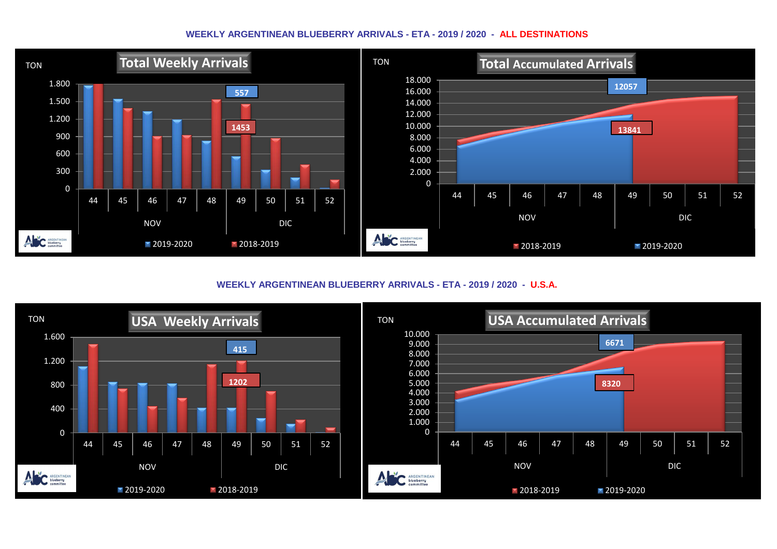## **WEEKLY ARGENTINEAN BLUEBERRY ARRIVALS - ETA - 2019 / 2020 - ALL DESTINATIONS**



**WEEKLY ARGENTINEAN BLUEBERRY ARRIVALS - ETA - 2019 / 2020 - U.S.A.**

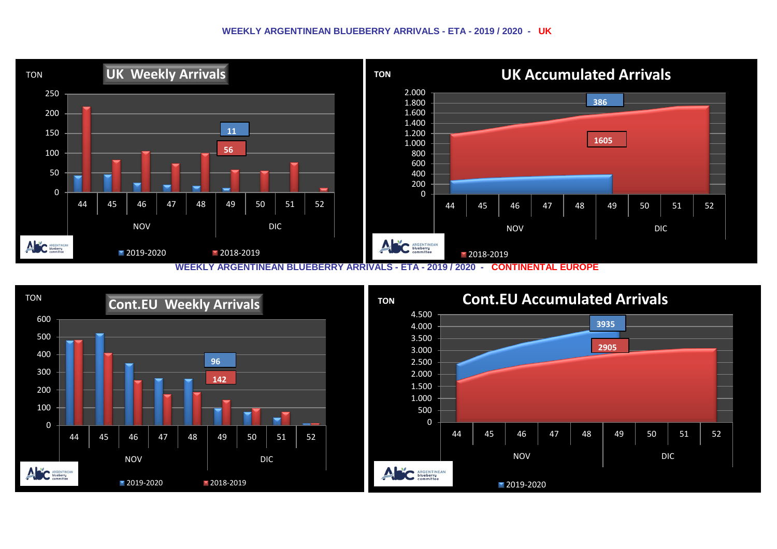## **WEEKLY ARGENTINEAN BLUEBERRY ARRIVALS - ETA - 2019 / 2020 - UK**